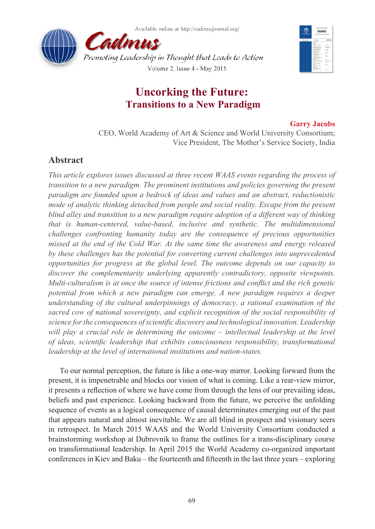



# **Uncorking the Future: Transitions to a New Paradigm**

### **Garry Jacobs**

CEO, World Academy of Art & Science and World University Consortium; Vice President, The Mother's Service Society, India

# **Abstract**

*This article explores issues discussed at three recent WAAS events regarding the process of transition to a new paradigm. The prominent institutions and policies governing the present paradigm are founded upon a bedrock of ideas and values and an abstract, reductionistic mode of analytic thinking detached from people and social reality. Escape from the present blind alley and transition to a new paradigm require adoption of a different way of thinking that is human-centered, value-based, inclusive and synthetic. The multidimensional challenges confronting humanity today are the consequence of precious opportunities missed at the end of the Cold War. At the same time the awareness and energy released by these challenges has the potential for converting current challenges into unprecedented opportunities for progress at the global level. The outcome depends on our capacity to discover the complementarity underlying apparently contradictory, opposite viewpoints. Multi-culturalism is at once the source of intense frictions and conflict and the rich genetic potential from which a new paradigm can emerge. A new paradigm requires a deeper understanding of the cultural underpinnings of democracy, a rational examination of the sacred cow of national sovereignty, and explicit recognition of the social responsibility of science for the consequences of scientific discovery and technological innovation. Leadership*  will play a crucial role in determining the outcome – intellectual leadership at the level *of ideas, scientific leadership that exhibits consciousness responsibility, transformational leadership at the level of international institutions and nation-states.*

To our normal perception, the future is like a one-way mirror. Looking forward from the present, it is impenetrable and blocks our vision of what is coming. Like a rear-view mirror, it presents a reflection of where we have come from through the lens of our prevailing ideas, beliefs and past experience. Looking backward from the future, we perceive the unfolding sequence of events as a logical consequence of causal determinates emerging out of the past that appears natural and almost inevitable. We are all blind in prospect and visionary seers in retrospect. In March 2015 WAAS and the World University Consortium conducted a brainstorming workshop at Dubrovnik to frame the outlines for a trans-disciplinary course on transformational leadership. In April 2015 the World Academy co-organized important conferences in Kiev and Baku – the fourteenth and fifteenth in the last three years – exploring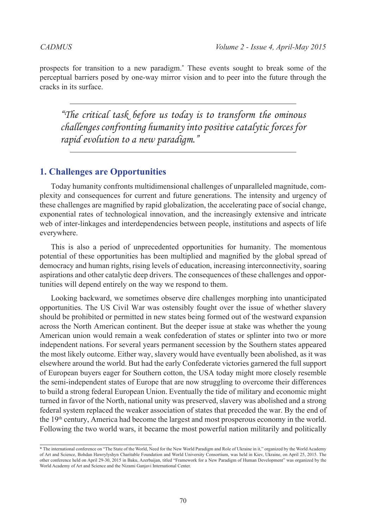prospects for transition to a new paradigm.\* These events sought to break some of the perceptual barriers posed by one-way mirror vision and to peer into the future through the cracks in its surface.

*"The critical task before us today is to transform the ominous challenges confronting humanity into positive catalytic forces for rapid evolution to a new paradigm."*

# **1. Challenges are Opportunities**

Today humanity confronts multidimensional challenges of unparalleled magnitude, complexity and consequences for current and future generations. The intensity and urgency of these challenges are magnified by rapid globalization, the accelerating pace of social change, exponential rates of technological innovation, and the increasingly extensive and intricate web of inter-linkages and interdependencies between people, institutions and aspects of life everywhere.

This is also a period of unprecedented opportunities for humanity. The momentous potential of these opportunities has been multiplied and magnified by the global spread of democracy and human rights, rising levels of education, increasing interconnectivity, soaring aspirations and other catalytic deep drivers. The consequences of these challenges and opportunities will depend entirely on the way we respond to them.

Looking backward, we sometimes observe dire challenges morphing into unanticipated opportunities. The US Civil War was ostensibly fought over the issue of whether slavery should be prohibited or permitted in new states being formed out of the westward expansion across the North American continent. But the deeper issue at stake was whether the young American union would remain a weak confederation of states or splinter into two or more independent nations. For several years permanent secession by the Southern states appeared the most likely outcome. Either way, slavery would have eventually been abolished, as it was elsewhere around the world. But had the early Confederate victories garnered the full support of European buyers eager for Southern cotton, the USA today might more closely resemble the semi-independent states of Europe that are now struggling to overcome their differences to build a strong federal European Union. Eventually the tide of military and economic might turned in favor of the North, national unity was preserved, slavery was abolished and a strong federal system replaced the weaker association of states that preceded the war. By the end of the  $19<sup>th</sup>$  century, America had become the largest and most prosperous economy in the world. Following the two world wars, it became the most powerful nation militarily and politically

<sup>\*</sup> The international conference on "The State of the World, Need for the New World Paradigm and Role of Ukraine in it," organized by the World Academy of Art and Science, Bohdan Hawrylyshyn Charitable Foundation and World University Consortium, was held in Kiev, Ukraine, on April 25, 2015. The other conference held on April 29-30, 2015 in Baku, Azerbaijan, titled "Framework for a New Paradigm of Human Development" was organized by the World Academy of Art and Science and the Nizami Ganjavi International Center.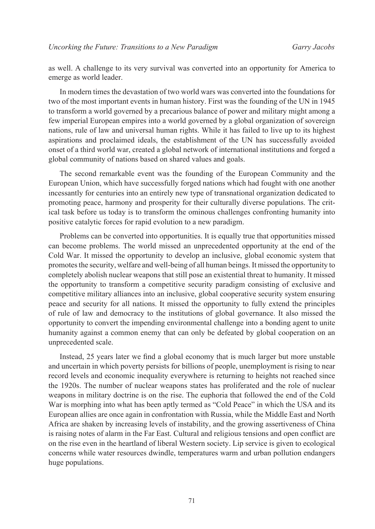as well. A challenge to its very survival was converted into an opportunity for America to emerge as world leader.

In modern times the devastation of two world wars was converted into the foundations for two of the most important events in human history. First was the founding of the UN in 1945 to transform a world governed by a precarious balance of power and military might among a few imperial European empires into a world governed by a global organization of sovereign nations, rule of law and universal human rights. While it has failed to live up to its highest aspirations and proclaimed ideals, the establishment of the UN has successfully avoided onset of a third world war, created a global network of international institutions and forged a global community of nations based on shared values and goals.

The second remarkable event was the founding of the European Community and the European Union, which have successfully forged nations which had fought with one another incessantly for centuries into an entirely new type of transnational organization dedicated to promoting peace, harmony and prosperity for their culturally diverse populations. The critical task before us today is to transform the ominous challenges confronting humanity into positive catalytic forces for rapid evolution to a new paradigm.

Problems can be converted into opportunities. It is equally true that opportunities missed can become problems. The world missed an unprecedented opportunity at the end of the Cold War. It missed the opportunity to develop an inclusive, global economic system that promotes the security, welfare and well-being of all human beings. It missed the opportunity to completely abolish nuclear weapons that still pose an existential threat to humanity. It missed the opportunity to transform a competitive security paradigm consisting of exclusive and competitive military alliances into an inclusive, global cooperative security system ensuring peace and security for all nations. It missed the opportunity to fully extend the principles of rule of law and democracy to the institutions of global governance. It also missed the opportunity to convert the impending environmental challenge into a bonding agent to unite humanity against a common enemy that can only be defeated by global cooperation on an unprecedented scale.

Instead, 25 years later we find a global economy that is much larger but more unstable and uncertain in which poverty persists for billions of people, unemployment is rising to near record levels and economic inequality everywhere is returning to heights not reached since the 1920s. The number of nuclear weapons states has proliferated and the role of nuclear weapons in military doctrine is on the rise. The euphoria that followed the end of the Cold War is morphing into what has been aptly termed as "Cold Peace" in which the USA and its European allies are once again in confrontation with Russia, while the Middle East and North Africa are shaken by increasing levels of instability, and the growing assertiveness of China is raising notes of alarm in the Far East. Cultural and religious tensions and open conflict are on the rise even in the heartland of liberal Western society. Lip service is given to ecological concerns while water resources dwindle, temperatures warm and urban pollution endangers huge populations.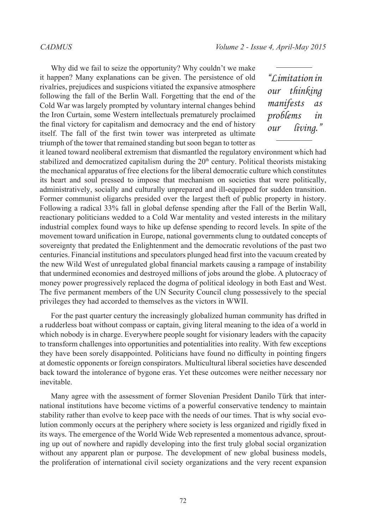Why did we fail to seize the opportunity? Why couldn't we make it happen? Many explanations can be given. The persistence of old rivalries, prejudices and suspicions vitiated the expansive atmosphere following the fall of the Berlin Wall. Forgetting that the end of the Cold War was largely prompted by voluntary internal changes behind the Iron Curtain, some Western intellectuals prematurely proclaimed the final victory for capitalism and democracy and the end of history itself. The fall of the first twin tower was interpreted as ultimate triumph of the tower that remained standing but soon began to totter as

*"Limitation in our thinking manifests as problems in our living."*

it leaned toward neoliberal extremism that dismantled the regulatory environment which had stabilized and democratized capitalism during the  $20<sup>th</sup>$  century. Political theorists mistaking the mechanical apparatus of free elections for the liberal democratic culture which constitutes its heart and soul pressed to impose that mechanism on societies that were politically, administratively, socially and culturally unprepared and ill-equipped for sudden transition. Former communist oligarchs presided over the largest theft of public property in history. Following a radical 33% fall in global defense spending after the Fall of the Berlin Wall, reactionary politicians wedded to a Cold War mentality and vested interests in the military industrial complex found ways to hike up defense spending to record levels. In spite of the movement toward unification in Europe, national governments clung to outdated concepts of sovereignty that predated the Enlightenment and the democratic revolutions of the past two centuries. Financial institutions and speculators plunged head first into the vacuum created by the new Wild West of unregulated global financial markets causing a rampage of instability that undermined economies and destroyed millions of jobs around the globe. A plutocracy of money power progressively replaced the dogma of political ideology in both East and West. The five permanent members of the UN Security Council clung possessively to the special privileges they had accorded to themselves as the victors in WWII.

For the past quarter century the increasingly globalized human community has drifted in a rudderless boat without compass or captain, giving literal meaning to the idea of a world in which nobody is in charge. Everywhere people sought for visionary leaders with the capacity to transform challenges into opportunities and potentialities into reality. With few exceptions they have been sorely disappointed. Politicians have found no difficulty in pointing fingers at domestic opponents or foreign conspirators. Multicultural liberal societies have descended back toward the intolerance of bygone eras. Yet these outcomes were neither necessary nor inevitable.

Many agree with the assessment of former Slovenian President Danilo Türk that international institutions have become victims of a powerful conservative tendency to maintain stability rather than evolve to keep pace with the needs of our times. That is why social evolution commonly occurs at the periphery where society is less organized and rigidly fixed in its ways. The emergence of the World Wide Web represented a momentous advance, sprouting up out of nowhere and rapidly developing into the first truly global social organization without any apparent plan or purpose. The development of new global business models, the proliferation of international civil society organizations and the very recent expansion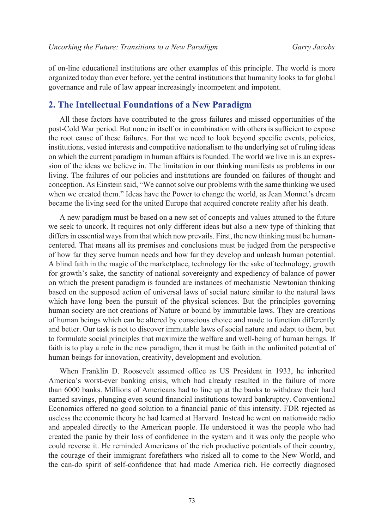of on-line educational institutions are other examples of this principle. The world is more organized today than ever before, yet the central institutions that humanity looks to for global governance and rule of law appear increasingly incompetent and impotent.

# **2. The Intellectual Foundations of a New Paradigm**

All these factors have contributed to the gross failures and missed opportunities of the post-Cold War period. But none in itself or in combination with others is sufficient to expose the root cause of these failures. For that we need to look beyond specific events, policies, institutions, vested interests and competitive nationalism to the underlying set of ruling ideas on which the current paradigm in human affairs is founded. The world we live in is an expression of the ideas we believe in. The limitation in our thinking manifests as problems in our living. The failures of our policies and institutions are founded on failures of thought and conception. As Einstein said, "We cannot solve our problems with the same thinking we used when we created them." Ideas have the Power to change the world, as Jean Monnet's dream became the living seed for the united Europe that acquired concrete reality after his death.

A new paradigm must be based on a new set of concepts and values attuned to the future we seek to uncork. It requires not only different ideas but also a new type of thinking that differs in essential ways from that which now prevails. First, the new thinking must be humancentered. That means all its premises and conclusions must be judged from the perspective of how far they serve human needs and how far they develop and unleash human potential. A blind faith in the magic of the marketplace, technology for the sake of technology, growth for growth's sake, the sanctity of national sovereignty and expediency of balance of power on which the present paradigm is founded are instances of mechanistic Newtonian thinking based on the supposed action of universal laws of social nature similar to the natural laws which have long been the pursuit of the physical sciences. But the principles governing human society are not creations of Nature or bound by immutable laws. They are creations of human beings which can be altered by conscious choice and made to function differently and better. Our task is not to discover immutable laws of social nature and adapt to them, but to formulate social principles that maximize the welfare and well-being of human beings. If faith is to play a role in the new paradigm, then it must be faith in the unlimited potential of human beings for innovation, creativity, development and evolution.

When Franklin D. Roosevelt assumed office as US President in 1933, he inherited America's worst-ever banking crisis, which had already resulted in the failure of more than 6000 banks. Millions of Americans had to line up at the banks to withdraw their hard earned savings, plunging even sound financial institutions toward bankruptcy. Conventional Economics offered no good solution to a financial panic of this intensity. FDR rejected as useless the economic theory he had learned at Harvard. Instead he went on nationwide radio and appealed directly to the American people. He understood it was the people who had created the panic by their loss of confidence in the system and it was only the people who could reverse it. He reminded Americans of the rich productive potentials of their country, the courage of their immigrant forefathers who risked all to come to the New World, and the can-do spirit of self-confidence that had made America rich. He correctly diagnosed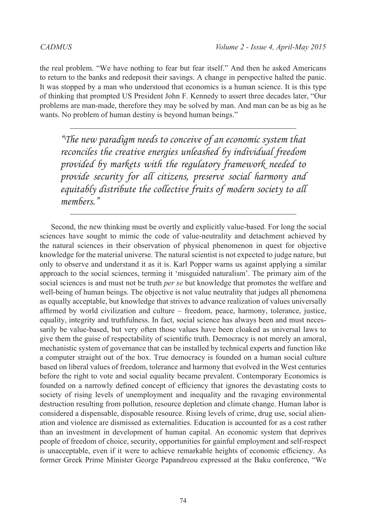the real problem. "We have nothing to fear but fear itself." And then he asked Americans to return to the banks and redeposit their savings. A change in perspective halted the panic. It was stopped by a man who understood that economics is a human science. It is this type of thinking that prompted US President John F. Kennedy to assert three decades later, "Our problems are man-made, therefore they may be solved by man. And man can be as big as he wants. No problem of human destiny is beyond human beings."

*"The new paradigm needs to conceive of an economic system that reconciles the creative energies unleashed by individual freedom provided by markets with the regulatory framework needed to provide security for all citizens, preserve social harmony and equitably distribute the collective fruits of modern society to all members."*

Second, the new thinking must be overtly and explicitly value-based. For long the social sciences have sought to mimic the code of value-neutrality and detachment achieved by the natural sciences in their observation of physical phenomenon in quest for objective knowledge for the material universe. The natural scientist is not expected to judge nature, but only to observe and understand it as it is. Karl Popper warns us against applying a similar approach to the social sciences, terming it 'misguided naturalism'. The primary aim of the social sciences is and must not be truth *per se* but knowledge that promotes the welfare and well-being of human beings. The objective is not value neutrality that judges all phenomena as equally acceptable, but knowledge that strives to advance realization of values universally affirmed by world civilization and culture – freedom, peace, harmony, tolerance, justice, equality, integrity and truthfulness. In fact, social science has always been and must necessarily be value-based, but very often those values have been cloaked as universal laws to give them the guise of respectability of scientific truth. Democracy is not merely an amoral, mechanistic system of governance that can be installed by technical experts and function like a computer straight out of the box. True democracy is founded on a human social culture based on liberal values of freedom, tolerance and harmony that evolved in the West centuries before the right to vote and social equality became prevalent. Contemporary Economics is founded on a narrowly defined concept of efficiency that ignores the devastating costs to society of rising levels of unemployment and inequality and the ravaging environmental destruction resulting from pollution, resource depletion and climate change. Human labor is considered a dispensable, disposable resource. Rising levels of crime, drug use, social alienation and violence are dismissed as externalities. Education is accounted for as a cost rather than an investment in development of human capital. An economic system that deprives people of freedom of choice, security, opportunities for gainful employment and self-respect is unacceptable, even if it were to achieve remarkable heights of economic efficiency. As former Greek Prime Minister George Papandreou expressed at the Baku conference, "We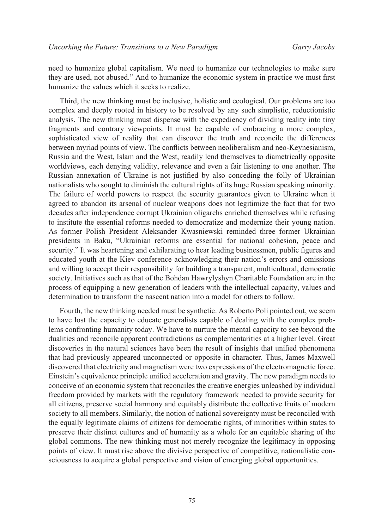need to humanize global capitalism. We need to humanize our technologies to make sure they are used, not abused." And to humanize the economic system in practice we must first humanize the values which it seeks to realize.

Third, the new thinking must be inclusive, holistic and ecological. Our problems are too complex and deeply rooted in history to be resolved by any such simplistic, reductionistic analysis. The new thinking must dispense with the expediency of dividing reality into tiny fragments and contrary viewpoints. It must be capable of embracing a more complex, sophisticated view of reality that can discover the truth and reconcile the differences between myriad points of view. The conflicts between neoliberalism and neo-Keynesianism, Russia and the West, Islam and the West, readily lend themselves to diametrically opposite worldviews, each denying validity, relevance and even a fair listening to one another. The Russian annexation of Ukraine is not justified by also conceding the folly of Ukrainian nationalists who sought to diminish the cultural rights of its huge Russian speaking minority. The failure of world powers to respect the security guarantees given to Ukraine when it agreed to abandon its arsenal of nuclear weapons does not legitimize the fact that for two decades after independence corrupt Ukrainian oligarchs enriched themselves while refusing to institute the essential reforms needed to democratize and modernize their young nation. As former Polish President Aleksander Kwasniewski reminded three former Ukrainian presidents in Baku, "Ukrainian reforms are essential for national cohesion, peace and security." It was heartening and exhilarating to hear leading businessmen, public figures and educated youth at the Kiev conference acknowledging their nation's errors and omissions and willing to accept their responsibility for building a transparent, multicultural, democratic society. Initiatives such as that of the Bohdan Hawrylyshyn Charitable Foundation are in the process of equipping a new generation of leaders with the intellectual capacity, values and determination to transform the nascent nation into a model for others to follow.

Fourth, the new thinking needed must be synthetic. As Roberto Poli pointed out, we seem to have lost the capacity to educate generalists capable of dealing with the complex problems confronting humanity today. We have to nurture the mental capacity to see beyond the dualities and reconcile apparent contradictions as complementarities at a higher level. Great discoveries in the natural sciences have been the result of insights that unified phenomena that had previously appeared unconnected or opposite in character. Thus, James Maxwell discovered that electricity and magnetism were two expressions of the electromagnetic force. Einstein's equivalence principle unified acceleration and gravity. The new paradigm needs to conceive of an economic system that reconciles the creative energies unleashed by individual freedom provided by markets with the regulatory framework needed to provide security for all citizens, preserve social harmony and equitably distribute the collective fruits of modern society to all members. Similarly, the notion of national sovereignty must be reconciled with the equally legitimate claims of citizens for democratic rights, of minorities within states to preserve their distinct cultures and of humanity as a whole for an equitable sharing of the global commons. The new thinking must not merely recognize the legitimacy in opposing points of view. It must rise above the divisive perspective of competitive, nationalistic consciousness to acquire a global perspective and vision of emerging global opportunities.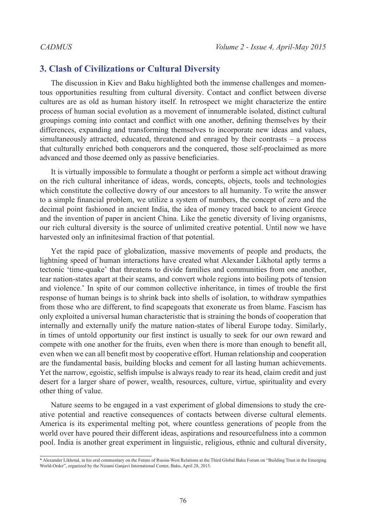# **3. Clash of Civilizations or Cultural Diversity**

The discussion in Kiev and Baku highlighted both the immense challenges and momentous opportunities resulting from cultural diversity. Contact and conflict between diverse cultures are as old as human history itself. In retrospect we might characterize the entire process of human social evolution as a movement of innumerable isolated, distinct cultural groupings coming into contact and conflict with one another, defining themselves by their differences, expanding and transforming themselves to incorporate new ideas and values, simultaneously attracted, educated, threatened and enraged by their contrasts – a process that culturally enriched both conquerors and the conquered, those self-proclaimed as more advanced and those deemed only as passive beneficiaries.

It is virtually impossible to formulate a thought or perform a simple act without drawing on the rich cultural inheritance of ideas, words, concepts, objects, tools and technologies which constitute the collective dowry of our ancestors to all humanity. To write the answer to a simple financial problem, we utilize a system of numbers, the concept of zero and the decimal point fashioned in ancient India, the idea of money traced back to ancient Greece and the invention of paper in ancient China. Like the genetic diversity of living organisms, our rich cultural diversity is the source of unlimited creative potential. Until now we have harvested only an infinitesimal fraction of that potential.

Yet the rapid pace of globalization, massive movements of people and products, the lightning speed of human interactions have created what Alexander Likhotal aptly terms a tectonic 'time-quake' that threatens to divide families and communities from one another, tear nation-states apart at their seams, and convert whole regions into boiling pots of tension and violence.\* In spite of our common collective inheritance, in times of trouble the first response of human beings is to shrink back into shells of isolation, to withdraw sympathies from those who are different, to find scapegoats that exonerate us from blame. Fascism has only exploited a universal human characteristic that is straining the bonds of cooperation that internally and externally unify the mature nation-states of liberal Europe today. Similarly, in times of untold opportunity our first instinct is usually to seek for our own reward and compete with one another for the fruits, even when there is more than enough to benefit all, even when we can all benefit most by cooperative effort. Human relationship and cooperation are the fundamental basis, building blocks and cement for all lasting human achievements. Yet the narrow, egoistic, selfish impulse is always ready to rear its head, claim credit and just desert for a larger share of power, wealth, resources, culture, virtue, spirituality and every other thing of value.

Nature seems to be engaged in a vast experiment of global dimensions to study the creative potential and reactive consequences of contacts between diverse cultural elements. America is its experimental melting pot, where countless generations of people from the world over have poured their different ideas, aspirations and resourcefulness into a common pool. India is another great experiment in linguistic, religious, ethnic and cultural diversity,

<sup>\*</sup> Alexander Likhotal, in his oral commentary on the Future of Russia-West Relations at the Third Global Baku Forum on "Building Trust in the Emerging World-Order", organized by the Nizami Ganjavi International Center, Baku, April 28, 2015.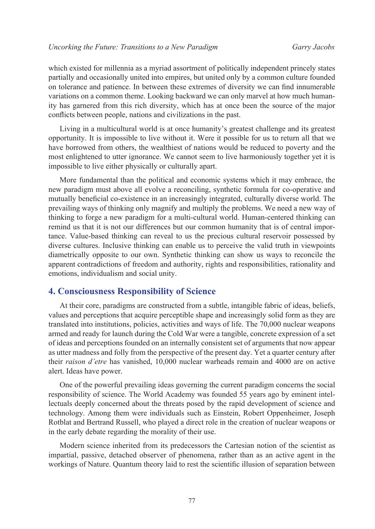which existed for millennia as a myriad assortment of politically independent princely states partially and occasionally united into empires, but united only by a common culture founded on tolerance and patience. In between these extremes of diversity we can find innumerable variations on a common theme. Looking backward we can only marvel at how much humanity has garnered from this rich diversity, which has at once been the source of the major conflicts between people, nations and civilizations in the past.

Living in a multicultural world is at once humanity's greatest challenge and its greatest opportunity. It is impossible to live without it. Were it possible for us to return all that we have borrowed from others, the wealthiest of nations would be reduced to poverty and the most enlightened to utter ignorance. We cannot seem to live harmoniously together yet it is impossible to live either physically or culturally apart.

More fundamental than the political and economic systems which it may embrace, the new paradigm must above all evolve a reconciling, synthetic formula for co-operative and mutually beneficial co-existence in an increasingly integrated, culturally diverse world. The prevailing ways of thinking only magnify and multiply the problems. We need a new way of thinking to forge a new paradigm for a multi-cultural world. Human-centered thinking can remind us that it is not our differences but our common humanity that is of central importance. Value-based thinking can reveal to us the precious cultural reservoir possessed by diverse cultures. Inclusive thinking can enable us to perceive the valid truth in viewpoints diametrically opposite to our own. Synthetic thinking can show us ways to reconcile the apparent contradictions of freedom and authority, rights and responsibilities, rationality and emotions, individualism and social unity.

### **4. Consciousness Responsibility of Science**

At their core, paradigms are constructed from a subtle, intangible fabric of ideas, beliefs, values and perceptions that acquire perceptible shape and increasingly solid form as they are translated into institutions, policies, activities and ways of life. The 70,000 nuclear weapons armed and ready for launch during the Cold War were a tangible, concrete expression of a set of ideas and perceptions founded on an internally consistent set of arguments that now appear as utter madness and folly from the perspective of the present day. Yet a quarter century after their *raison d'etre* has vanished, 10,000 nuclear warheads remain and 4000 are on active alert. Ideas have power.

One of the powerful prevailing ideas governing the current paradigm concerns the social responsibility of science. The World Academy was founded 55 years ago by eminent intellectuals deeply concerned about the threats posed by the rapid development of science and technology. Among them were individuals such as Einstein, Robert Oppenheimer, Joseph Rotblat and Bertrand Russell, who played a direct role in the creation of nuclear weapons or in the early debate regarding the morality of their use.

Modern science inherited from its predecessors the Cartesian notion of the scientist as impartial, passive, detached observer of phenomena, rather than as an active agent in the workings of Nature. Quantum theory laid to rest the scientific illusion of separation between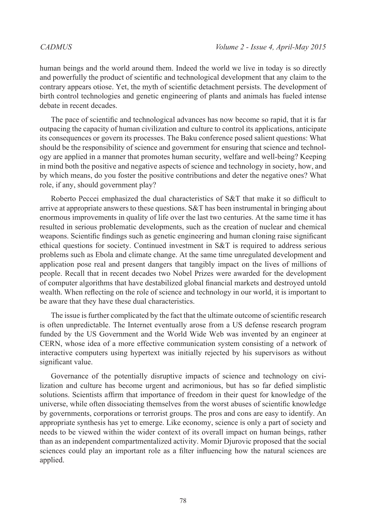human beings and the world around them. Indeed the world we live in today is so directly and powerfully the product of scientific and technological development that any claim to the contrary appears otiose. Yet, the myth of scientific detachment persists. The development of birth control technologies and genetic engineering of plants and animals has fueled intense debate in recent decades.

The pace of scientific and technological advances has now become so rapid, that it is far outpacing the capacity of human civilization and culture to control its applications, anticipate its consequences or govern its processes. The Baku conference posed salient questions: What should be the responsibility of science and government for ensuring that science and technology are applied in a manner that promotes human security, welfare and well-being? Keeping in mind both the positive and negative aspects of science and technology in society, how, and by which means, do you foster the positive contributions and deter the negative ones? What role, if any, should government play?

Roberto Peccei emphasized the dual characteristics of S&T that make it so difficult to arrive at appropriate answers to these questions. S&T has been instrumental in bringing about enormous improvements in quality of life over the last two centuries. At the same time it has resulted in serious problematic developments, such as the creation of nuclear and chemical weapons. Scientific findings such as genetic engineering and human cloning raise significant ethical questions for society. Continued investment in S&T is required to address serious problems such as Ebola and climate change. At the same time unregulated development and application pose real and present dangers that tangibly impact on the lives of millions of people. Recall that in recent decades two Nobel Prizes were awarded for the development of computer algorithms that have destabilized global financial markets and destroyed untold wealth. When reflecting on the role of science and technology in our world, it is important to be aware that they have these dual characteristics.

The issue is further complicated by the fact that the ultimate outcome of scientific research is often unpredictable. The Internet eventually arose from a US defense research program funded by the US Government and the World Wide Web was invented by an engineer at CERN, whose idea of a more effective communication system consisting of a network of interactive computers using hypertext was initially rejected by his supervisors as without significant value.

Governance of the potentially disruptive impacts of science and technology on civilization and culture has become urgent and acrimonious, but has so far defied simplistic solutions. Scientists affirm that importance of freedom in their quest for knowledge of the universe, while often dissociating themselves from the worst abuses of scientific knowledge by governments, corporations or terrorist groups. The pros and cons are easy to identify. An appropriate synthesis has yet to emerge. Like economy, science is only a part of society and needs to be viewed within the wider context of its overall impact on human beings, rather than as an independent compartmentalized activity. Momir Djurovic proposed that the social sciences could play an important role as a filter influencing how the natural sciences are applied.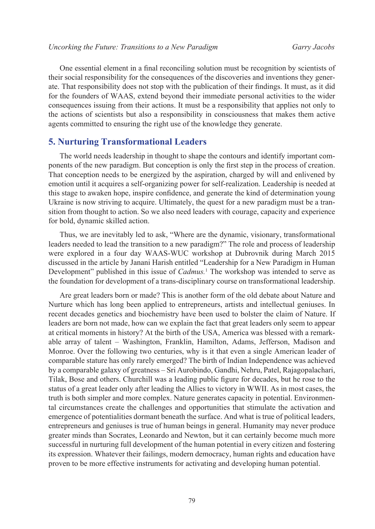One essential element in a final reconciling solution must be recognition by scientists of their social responsibility for the consequences of the discoveries and inventions they generate. That responsibility does not stop with the publication of their findings. It must, as it did for the founders of WAAS, extend beyond their immediate personal activities to the wider consequences issuing from their actions. It must be a responsibility that applies not only to the actions of scientists but also a responsibility in consciousness that makes them active agents committed to ensuring the right use of the knowledge they generate.

# **5. Nurturing Transformational Leaders**

The world needs leadership in thought to shape the contours and identify important components of the new paradigm. But conception is only the first step in the process of creation. That conception needs to be energized by the aspiration, charged by will and enlivened by emotion until it acquires a self-organizing power for self-realization. Leadership is needed at this stage to awaken hope, inspire confidence, and generate the kind of determination young Ukraine is now striving to acquire. Ultimately, the quest for a new paradigm must be a transition from thought to action. So we also need leaders with courage, capacity and experience for bold, dynamic skilled action.

Thus, we are inevitably led to ask, "Where are the dynamic, visionary, transformational leaders needed to lead the transition to a new paradigm?" The role and process of leadership were explored in a four day WAAS-WUC workshop at Dubrovnik during March 2015 discussed in the article by Janani Harish entitled "Leadership for a New Paradigm in Human Development" published in this issue of *Cadmus.*[1](#page-13-0) The workshop was intended to serve as the foundation for development of a trans-disciplinary course on transformational leadership.

Are great leaders born or made? This is another form of the old debate about Nature and Nurture which has long been applied to entrepreneurs, artists and intellectual geniuses. In recent decades genetics and biochemistry have been used to bolster the claim of Nature. If leaders are born not made, how can we explain the fact that great leaders only seem to appear at critical moments in history? At the birth of the USA, America was blessed with a remarkable array of talent – Washington, Franklin, Hamilton, Adams, Jefferson, Madison and Monroe. Over the following two centuries, why is it that even a single American leader of comparable stature has only rarely emerged? The birth of Indian Independence was achieved by a comparable galaxy of greatness – Sri Aurobindo, Gandhi, Nehru, Patel, Rajagopalachari, Tilak, Bose and others. Churchill was a leading public figure for decades, but he rose to the status of a great leader only after leading the Allies to victory in WWII. As in most cases, the truth is both simpler and more complex. Nature generates capacity in potential. Environmental circumstances create the challenges and opportunities that stimulate the activation and emergence of potentialities dormant beneath the surface. And what is true of political leaders, entrepreneurs and geniuses is true of human beings in general. Humanity may never produce greater minds than Socrates, Leonardo and Newton, but it can certainly become much more successful in nurturing full development of the human potential in every citizen and fostering its expression. Whatever their failings, modern democracy, human rights and education have proven to be more effective instruments for activating and developing human potential.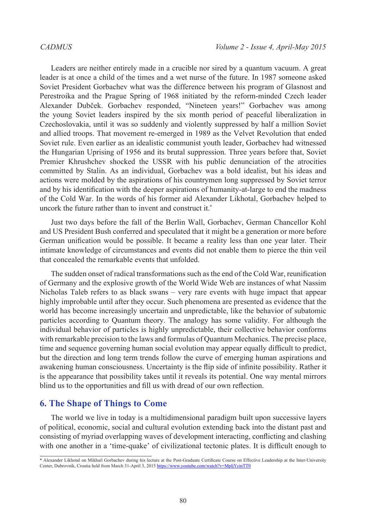Leaders are neither entirely made in a crucible nor sired by a quantum vacuum. A great leader is at once a child of the times and a wet nurse of the future. In 1987 someone asked Soviet President Gorbachev what was the difference between his program of Glasnost and Perestroika and the Prague Spring of 1968 initiated by the reform-minded Czech leader Alexander Dubček. Gorbachev responded, "Nineteen years!" Gorbachev was among the young Soviet leaders inspired by the six month period of peaceful liberalization in Czechoslovakia, until it was so suddenly and violently suppressed by half a million Soviet and allied troops. That movement re-emerged in 1989 as the Velvet Revolution that ended Soviet rule. Even earlier as an idealistic communist youth leader, Gorbachev had witnessed the Hungarian Uprising of 1956 and its brutal suppression. Three years before that, Soviet Premier Khrushchev shocked the USSR with his public denunciation of the atrocities committed by Stalin. As an individual, Gorbachev was a bold idealist, but his ideas and actions were molded by the aspirations of his countrymen long suppressed by Soviet terror and by his identification with the deeper aspirations of humanity-at-large to end the madness of the Cold War. In the words of his former aid Alexander Likhotal, Gorbachev helped to uncork the future rather than to invent and construct it.<sup>\*</sup>

Just two days before the fall of the Berlin Wall, Gorbachev, German Chancellor Kohl and US President Bush conferred and speculated that it might be a generation or more before German unification would be possible. It became a reality less than one year later. Their intimate knowledge of circumstances and events did not enable them to pierce the thin veil that concealed the remarkable events that unfolded.

The sudden onset of radical transformations such as the end of the Cold War, reunification of Germany and the explosive growth of the World Wide Web are instances of what Nassim Nicholas Taleb refers to as black swans – very rare events with huge impact that appear highly improbable until after they occur. Such phenomena are presented as evidence that the world has become increasingly uncertain and unpredictable, like the behavior of subatomic particles according to Quantum theory. The analogy has some validity. For although the individual behavior of particles is highly unpredictable, their collective behavior conforms with remarkable precision to the laws and formulas of Quantum Mechanics. The precise place, time and sequence governing human social evolution may appear equally difficult to predict, but the direction and long term trends follow the curve of emerging human aspirations and awakening human consciousness. Uncertainty is the flip side of infinite possibility. Rather it is the appearance that possibility takes until it reveals its potential. One way mental mirrors blind us to the opportunities and fill us with dread of our own reflection.

# **6. The Shape of Things to Come**

The world we live in today is a multidimensional paradigm built upon successive layers of political, economic, social and cultural evolution extending back into the distant past and consisting of myriad overlapping waves of development interacting, conflicting and clashing with one another in a 'time-quake' of civilizational tectonic plates. It is difficult enough to

<sup>\*</sup> Alexander Likhotal on Mikhail Gorbachev during his lecture at the Post-Graduate Certificate Course on Effective Leadership at the Inter-University Center, Dubrovnik, Croatia held from March 31-April 3, 2015 [https://www.youtube.com/watch?v=MpljYcinTT0](https://www.youtube.com/video/MpljYcinTT0)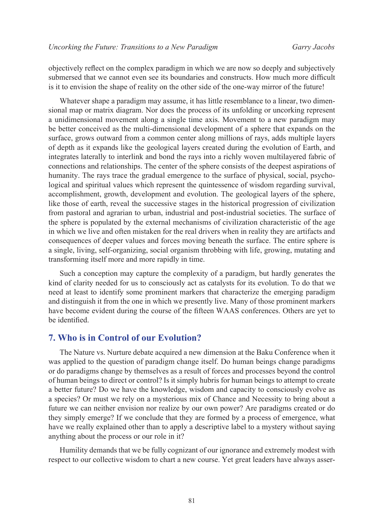objectively reflect on the complex paradigm in which we are now so deeply and subjectively submersed that we cannot even see its boundaries and constructs. How much more difficult is it to envision the shape of reality on the other side of the one-way mirror of the future!

Whatever shape a paradigm may assume, it has little resemblance to a linear, two dimensional map or matrix diagram. Nor does the process of its unfolding or uncorking represent a unidimensional movement along a single time axis. Movement to a new paradigm may be better conceived as the multi-dimensional development of a sphere that expands on the surface, grows outward from a common center along millions of rays, adds multiple layers of depth as it expands like the geological layers created during the evolution of Earth, and integrates laterally to interlink and bond the rays into a richly woven multilayered fabric of connections and relationships. The center of the sphere consists of the deepest aspirations of humanity. The rays trace the gradual emergence to the surface of physical, social, psychological and spiritual values which represent the quintessence of wisdom regarding survival, accomplishment, growth, development and evolution. The geological layers of the sphere, like those of earth, reveal the successive stages in the historical progression of civilization from pastoral and agrarian to urban, industrial and post-industrial societies. The surface of the sphere is populated by the external mechanisms of civilization characteristic of the age in which we live and often mistaken for the real drivers when in reality they are artifacts and consequences of deeper values and forces moving beneath the surface. The entire sphere is a single, living, self-organizing, social organism throbbing with life, growing, mutating and transforming itself more and more rapidly in time.

Such a conception may capture the complexity of a paradigm, but hardly generates the kind of clarity needed for us to consciously act as catalysts for its evolution. To do that we need at least to identify some prominent markers that characterize the emerging paradigm and distinguish it from the one in which we presently live. Many of those prominent markers have become evident during the course of the fifteen WAAS conferences. Others are yet to be identified.

# **7. Who is in Control of our Evolution?**

The Nature vs. Nurture debate acquired a new dimension at the Baku Conference when it was applied to the question of paradigm change itself. Do human beings change paradigms or do paradigms change by themselves as a result of forces and processes beyond the control of human beings to direct or control? Is it simply hubris for human beings to attempt to create a better future? Do we have the knowledge, wisdom and capacity to consciously evolve as a species? Or must we rely on a mysterious mix of Chance and Necessity to bring about a future we can neither envision nor realize by our own power? Are paradigms created or do they simply emerge? If we conclude that they are formed by a process of emergence, what have we really explained other than to apply a descriptive label to a mystery without saying anything about the process or our role in it?

Humility demands that we be fully cognizant of our ignorance and extremely modest with respect to our collective wisdom to chart a new course. Yet great leaders have always asser